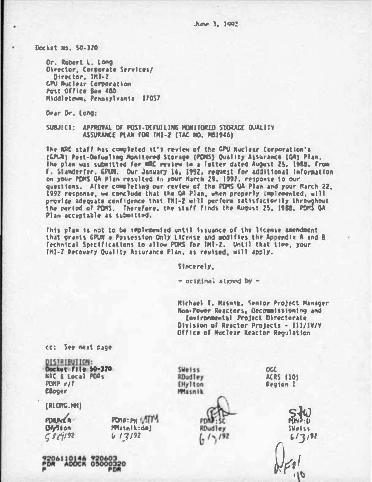Bocket No. 50,120

Dr. Robert L. Long Divector, Corporate Services/ Director, IMI-2 **GPU Puclear Corporation** Post Office Box 480 Middletown, Pennsylvania 17057

Dear Dr. Long:

## SUBJECT: APPROVAL OF POST-DEFUELENG HONETORED STORAGE OUALETY ASSURANCE PLAN FOR TH1-2 ITAC NO. ME19461

The NAC staff has completed it's review of the GPU Nuclear Corporation's (GPLN) Post-Defueling Monitored Starage (PDHS) Quality Assurance (QA) Plan. The plan was submitted for MRC review in a Tetter dated August 25, 1988. From F. Standerfer. GPUM. Our January 14, 1992, request for additional information on your PDMS GA Plan resulted in your March 29, 1992, response to our questions. After completing our review of the PDMS OA Plan and your March 22. 1992 response, we conclude that the GA Plan, when properly (mplemented, will provide adequate confidence that TNI-2 will perform satisfactorily throughout the period of PDIS. Therefore, the staff finds the August 25, 1988. PDHS GA Plan acceptable as submitted.

This plan is not to be implemented until issuance of the license amendment that grants GPUN a Possession Only License and modifies the Appendix A and B Technical Specifications to allow POMS for IMI-2. Until that time, your IMI-2 Recovery Quality Assurance Plan, as revised, will apply.

Sincerely.

- original signed by -

Michael T. Masnik, Senior Project Manager Non-Power Reactors, Decommissioning and Invironmental Project Directorate Division of Reactor Projects - 111/IV/V Office of Muclear Reactor Regulation

CC: See mest page

DISTRIBUTION: Dockyt File 50-320 **NRC & Local PORs**  $POMP$   $r/f$ **EBoger** 

**FRIDAC.NKI** 

| <b>FDRACA</b>   | <b>PONP: PH MITH</b> |
|-----------------|----------------------|
| <b>Di</b> filen | Hisnik:daj           |
| 517192          | 613192               |

SWeiss RDudley EHylton Masnik



**DOCC ACRS (10)** Region 1

Shlelss  $6/7/92$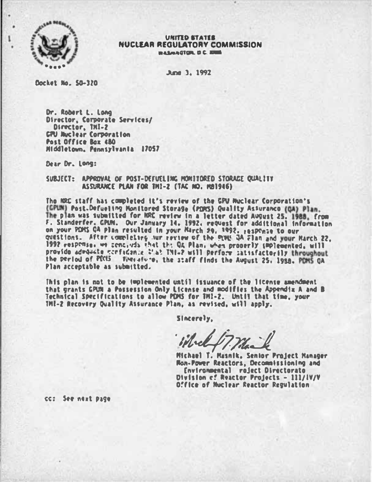

ï

## **UNITED STATES** NUCLEAR REGULATORY COMMISSION **HASHASTON D.C. 2000**

June 3, 1992

Docket No. 50-320

Dr. Robert L. Long Director, Corporate Services/ Director, TXI-2 **CPU Huclear Corporation** Post Office Roy 480 Middletown, Pennsylvania 17057

flear Dr. Long:

## SUBJECT: APPROVAL OF POST-DEFUELING MONITORED STORAGE OUALITY ASSURANCE PLAN FOR THI-2 ITAC NO. HA19461

The NRC staff has completed it's review of the GPU Muclear Corporation's (GPLIN) Post.Defueling Monitored Storage (PDMS) Quality Assurance (OA) Plan. The plan was submitted for NRC review in a letter dated August 25, 1988. from F. Standerfer. GPUM. Our January 14. 1992. request for additional information on your PDMS CA plan resulted in your March 99, 1992, response to our<br>questions. After completing jur review of the PDMS CA Flan and your March 22. 1992 response, we conc, da that the OA Plan, when properly smplemented, will provide advolute confidence that TNI-2 will perform satisfactorily throughout the period of PCCLS Therafore, the staff finds the August 25, 1988. PCMS OA Plan acceptable as submitted.

This plan is not to be (mplemented until issuance of the license amendment that grants GPUN a Possession Only License and modifies the Appendix A and B Technical Specifications to allow PDMS for TH1-2. Until that time, your TML-2 Recovery Ovality Assurance Plan, as revised, will apply,

Sincerely.

Michael T. Masnik, Senior Project Manager Mon-Power Reactors, Decommissioning and Environmental rolect Directorato Division c! Reactor Projects - 111/1V/V Office of Muclear Reactor Regulation

CC: See nest page